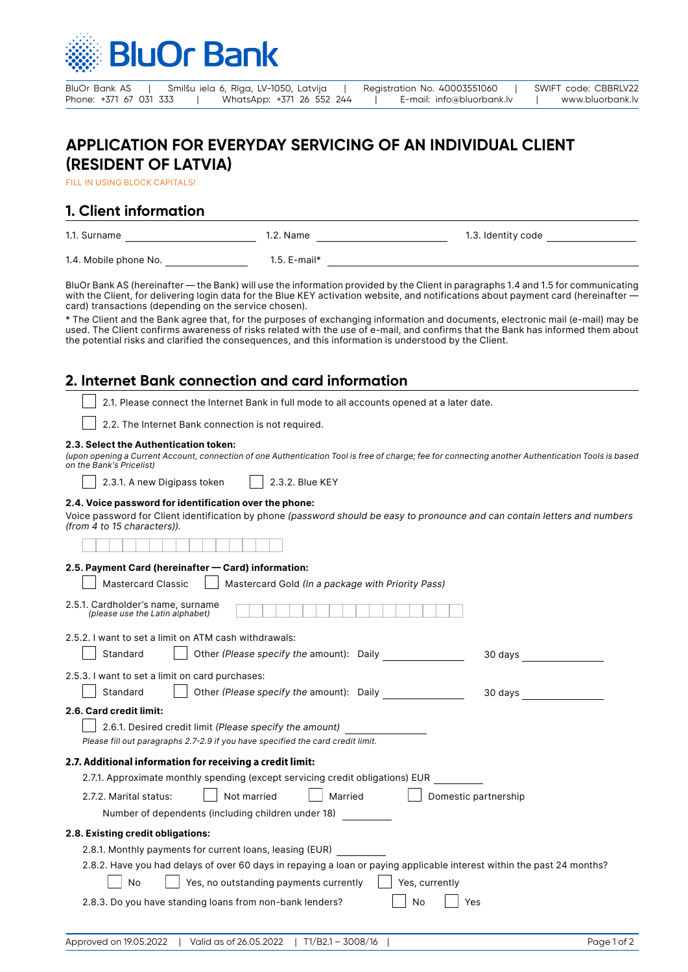

BluOr Bank AS | Smilšu iela 6, Rīga, LV-1050, Latvija | Registration No. 40003551060 | SWIFT code: CBBRLV22<br>Phone: +371 67 031 333 | WhatsApp: +371 26 552 244 | E-mail: info@bluorbank.lv | www.bluorbank.lv Phone: +371 26 552 244 | E-mail: info@bluorbank.lv | www.bluorbank.lv

# **APPLICATION FOR EVERYDAY SERVICING OF AN INDIVIDUAL CLIENT (RESIDENT OF LATVIA)**

FILL IN USING BLOCK CAPITALS!

## **1. Client information**

| 1.1. Surname          | 1.2. Name      | 1.3. Identity code |
|-----------------------|----------------|--------------------|
| 1.4. Mobile phone No. | $1.5.$ E-mail* |                    |

BluOr Bank AS (hereinafter — the Bank) will use the information provided by the Client in paragraphs 1.4 and 1.5 for communicating with the Client, for delivering login data for the Blue KEY activation website, and notifications about payment card (hereinafter card) transactions (depending on the service chosen).

\* The Client and the Bank agree that, for the purposes of exchanging information and documents, electronic mail (e-mail) may be used. The Client confirms awareness of risks related with the use of e-mail, and confirms that the Bank has informed them about the potential risks and clarified the consequences, and this information is understood by the Client.

### **2. Internet Bank connection and card information**

2.1. Please connect the Internet Bank in full mode to all accounts opened at a later date.

2.2. The Internet Bank connection is not required.

#### **2.3. Select the Authentication token:**

*(upon opening a Current Account, connection of one Authentication Tool is free of charge; fee for connecting another Authentication Tools is based on the Bank's Pricelist)*

| 2.3.1. A new Digipass token | $\Box$ 2.3.2. Blue KEY |
|-----------------------------|------------------------|
|-----------------------------|------------------------|

### **2.4. Voice password for identification over the phone:**

Voice password for Client identification by phone *(password should be easy to pronounce and can contain letters and numbers (from 4 to 15 characters)).*

#### **2.5. Payment Card (hereinafter — Card) information:**

| 2.9. Fayment Card (neremarter<br>Valui IIIIviillauvii.                                                                 |  |
|------------------------------------------------------------------------------------------------------------------------|--|
| <b>Mastercard Classic</b><br>Mastercard Gold (In a package with Priority Pass)                                         |  |
| 2.5.1. Cardholder's name, surname<br>(please use the Latin alphabet)                                                   |  |
| 2.5.2. I want to set a limit on ATM cash withdrawals:                                                                  |  |
| Other (Please specify the amount): Daily<br>Standard<br>30 days                                                        |  |
| 2.5.3. I want to set a limit on card purchases:                                                                        |  |
| Other (Please specify the amount): Daily<br>Standard<br>30 days                                                        |  |
| 2.6. Card credit limit:                                                                                                |  |
| 2.6.1. Desired credit limit (Please specify the amount)                                                                |  |
| Please fill out paragraphs 2.7-2.9 if you have specified the card credit limit.                                        |  |
| 2.7. Additional information for receiving a credit limit:                                                              |  |
| 2.7.1. Approximate monthly spending (except servicing credit obligations) EUR                                          |  |
| Not married<br>Married<br>Domestic partnership<br>2.7.2. Marital status:                                               |  |
| Number of dependents (including children under 18)                                                                     |  |
| 2.8. Existing credit obligations:                                                                                      |  |
| 2.8.1. Monthly payments for current loans, leasing (EUR)                                                               |  |
| 2.8.2. Have you had delays of over 60 days in repaying a loan or paying applicable interest within the past 24 months? |  |
| Yes, no outstanding payments currently<br>Yes, currently<br>No                                                         |  |
| 2.8.3. Do you have standing loans from non-bank lenders?<br>No<br>Yes                                                  |  |